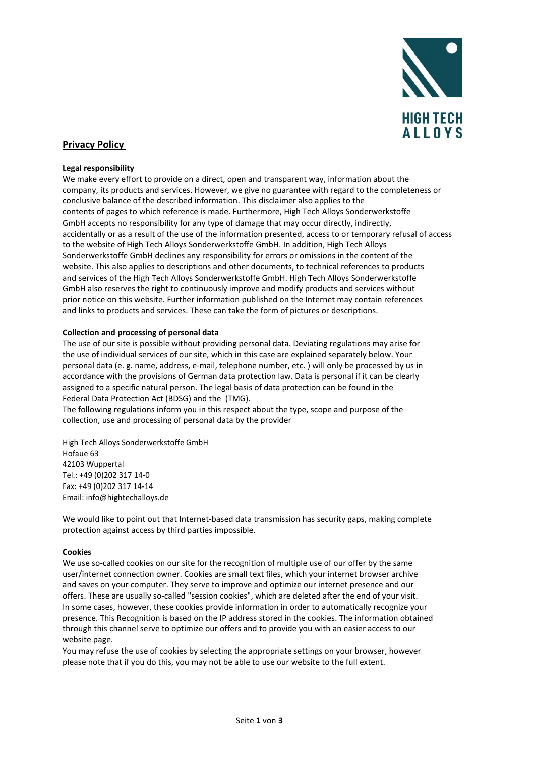

# Privacy Policy

## Legal responsibility

We make every effort to provide on a direct, open and transparent way, information about the company, its products and services. However, we give no guarantee with regard to the completeness or conclusive balance of the described information. This disclaimer also applies to the contents of pages to which reference is made. Furthermore, High Tech Alloys Sonderwerkstoffe GmbH accepts no responsibility for any type of damage that may occur directly, indirectly, accidentally or as a result of the use of the information presented, access to or temporary refusal of access to the website of High Tech Alloys Sonderwerkstoffe GmbH. In addition, High Tech Alloys Sonderwerkstoffe GmbH declines any responsibility for errors or omissions in the content of the website. This also applies to descriptions and other documents, to technical references to products and services of the High Tech Alloys Sonderwerkstoffe GmbH. High Tech Alloys Sonderwerkstoffe GmbH also reserves the right to continuously improve and modify products and services without prior notice on this website. Further information published on the Internet may contain references and links to products and services. These can take the form of pictures or descriptions.

## Collection and processing of personal data

The use of our site is possible without providing personal data. Deviating regulations may arise for the use of individual services of our site, which in this case are explained separately below. Your personal data (e. g. name, address, e-mail, telephone number, etc. ) will only be processed by us in accordance with the provisions of German data protection law. Data is personal if it can be clearly assigned to a specific natural person. The legal basis of data protection can be found in the Federal Data Protection Act (BDSG) and the (TMG).

The following regulations inform you in this respect about the type, scope and purpose of the collection, use and processing of personal data by the provider

High Tech Alloys Sonderwerkstoffe GmbH Hofaue 63 42103 Wuppertal Tel.: +49 (0)202 317 14-0 Fax: +49 (0)202 317 14-14 Email: info@hightechalloys.de

We would like to point out that Internet-based data transmission has security gaps, making complete protection against access by third parties impossible.

### Cookies

We use so-called cookies on our site for the recognition of multiple use of our offer by the same user/internet connection owner. Cookies are small text files, which your internet browser archive and saves on your computer. They serve to improve and optimize our internet presence and our offers. These are usually so-called "session cookies", which are deleted after the end of your visit. In some cases, however, these cookies provide information in order to automatically recognize your presence. This Recognition is based on the IP address stored in the cookies. The information obtained through this channel serve to optimize our offers and to provide you with an easier access to our website page.

You may refuse the use of cookies by selecting the appropriate settings on your browser, however please note that if you do this, you may not be able to use our website to the full extent.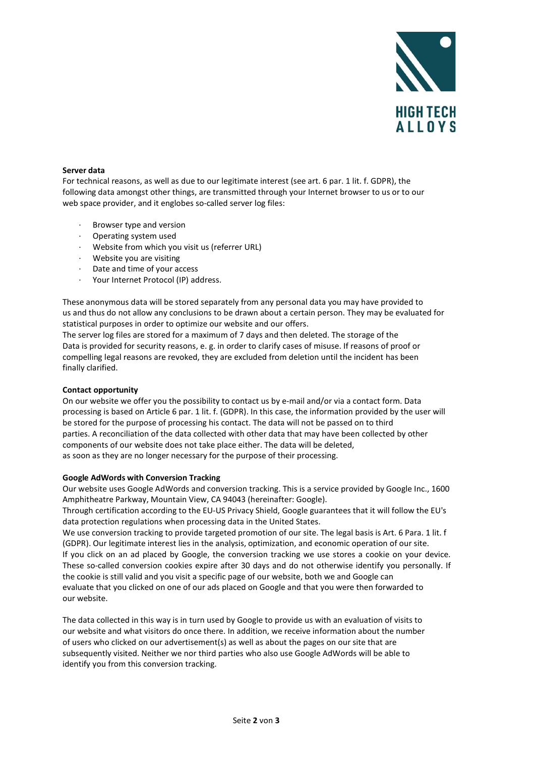

# Server data

For technical reasons, as well as due to our legitimate interest (see art. 6 par. 1 lit. f. GDPR), the following data amongst other things, are transmitted through your Internet browser to us or to our web space provider, and it englobes so-called server log files:

- Browser type and version
- · Operating system used
- Website from which you visit us (referrer URL)
- Website you are visiting
- · Date and time of your access
- Your Internet Protocol (IP) address.

These anonymous data will be stored separately from any personal data you may have provided to us and thus do not allow any conclusions to be drawn about a certain person. They may be evaluated for statistical purposes in order to optimize our website and our offers.

The server log files are stored for a maximum of 7 days and then deleted. The storage of the Data is provided for security reasons, e. g. in order to clarify cases of misuse. If reasons of proof or compelling legal reasons are revoked, they are excluded from deletion until the incident has been finally clarified.

### Contact opportunity

On our website we offer you the possibility to contact us by e-mail and/or via a contact form. Data processing is based on Article 6 par. 1 lit. f. (GDPR). In this case, the information provided by the user will be stored for the purpose of processing his contact. The data will not be passed on to third parties. A reconciliation of the data collected with other data that may have been collected by other components of our website does not take place either. The data will be deleted, as soon as they are no longer necessary for the purpose of their processing.

### Google AdWords with Conversion Tracking

Our website uses Google AdWords and conversion tracking. This is a service provided by Google Inc., 1600 Amphitheatre Parkway, Mountain View, CA 94043 (hereinafter: Google).

Through certification according to the EU-US Privacy Shield, Google guarantees that it will follow the EU's data protection regulations when processing data in the United States.

We use conversion tracking to provide targeted promotion of our site. The legal basis is Art. 6 Para. 1 lit. f (GDPR). Our legitimate interest lies in the analysis, optimization, and economic operation of our site. If you click on an ad placed by Google, the conversion tracking we use stores a cookie on your device. These so-called conversion cookies expire after 30 days and do not otherwise identify you personally. If the cookie is still valid and you visit a specific page of our website, both we and Google can evaluate that you clicked on one of our ads placed on Google and that you were then forwarded to our website.

The data collected in this way is in turn used by Google to provide us with an evaluation of visits to our website and what visitors do once there. In addition, we receive information about the number of users who clicked on our advertisement(s) as well as about the pages on our site that are subsequently visited. Neither we nor third parties who also use Google AdWords will be able to identify you from this conversion tracking.